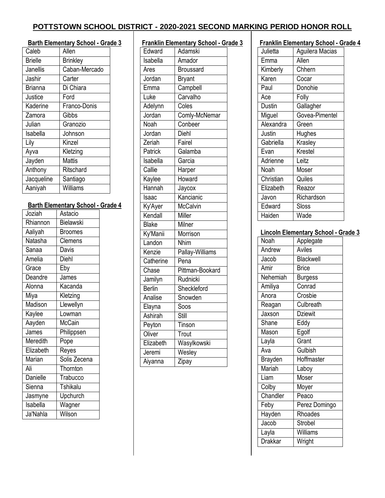#### **Barth Elementary School - Grade 3**

| Caleb          | Allen           |
|----------------|-----------------|
| <b>Brielle</b> | <b>Brinkley</b> |
| Janellis       | Caban-Mercado   |
| Jashir         | Carter          |
| <b>Brianna</b> | Di Chiara       |
| Justice        | Ford            |
| Kaderine       | Franco-Donis    |
| Zamora         | Gibbs           |
| Julian         | Granozio        |
| Isabella       | Johnson         |
| Lily           | Kinzel          |
| Ayva           | Kletzing        |
| Jayden         | <b>Mattis</b>   |
| Anthony        | Ritschard       |
| Jacqueline     | Santiago        |
| Aaniyah        | Williams        |

### **Barth Elementary School - Grade 4**

| Joziah          | Astacio          |  |
|-----------------|------------------|--|
| Rhiannon        | <b>Bielawski</b> |  |
| Aaliyah         | <b>Broomes</b>   |  |
| Natasha         | Clemens          |  |
| Sanaa           | Davis            |  |
| Amelia          | Diehl            |  |
| Grace           | Eby              |  |
| Deandre         | James            |  |
| Alonna          | Kacanda          |  |
| Miya            | Kletzing         |  |
| Madison         | Llewellyn        |  |
| Kaylee          | Lowman           |  |
| Aayden          | McCain           |  |
| James           | Philippsen       |  |
| Meredith        | Pope             |  |
| Elizabeth       | Reyes            |  |
| Marian          | Solis Zecena     |  |
| Ali             | Thornton         |  |
| <b>Danielle</b> | Trabucco         |  |
| Sienna          | <b>Tshikalu</b>  |  |
| Jasmyne         | Upchurch         |  |
| Isabella        | Wagner           |  |
| Ja'Nahla        | Wilson           |  |

|               | <b>Franklin Elementary School - Grade 3</b> |  |
|---------------|---------------------------------------------|--|
| Edward        | Adamski                                     |  |
| Isabella      | Amador                                      |  |
| Ares          | <b>Broussard</b>                            |  |
| Jordan        | <b>Bryant</b>                               |  |
| Emma          | Campbell                                    |  |
| Luke          | Carvalho                                    |  |
| Adelynn       | Coles                                       |  |
| Jordan        | Comly-McNemar                               |  |
| Noah          | Conbeer                                     |  |
| Jordan        | Diehl                                       |  |
| Zeriah        | Fairel                                      |  |
| Patrick       | Galamba                                     |  |
| Isabella      | Garcia                                      |  |
| Callie        | Harper                                      |  |
| Kaylee        | Howard                                      |  |
| Hannah        | Jaycox                                      |  |
| Isaac         | Kancianic                                   |  |
| Ky'Ayer       | <b>McCalvin</b>                             |  |
| Kendall       | Miller                                      |  |
| <b>Blake</b>  | Milner                                      |  |
| Ky'Manii      | Morrison                                    |  |
| Landon        | <b>Nhim</b>                                 |  |
| Kenzie        | Pallay-Williams                             |  |
| Catherine     | Pena                                        |  |
| Chase         | Pittman-Bookard                             |  |
| Jamilyn       | Rudnicki                                    |  |
| <b>Berlin</b> | Sheckleford                                 |  |
| Analise       | Snowden                                     |  |
| Elayna        | Soos                                        |  |
| Ashirah       | Still                                       |  |
| Peyton        | Tinson                                      |  |
| Oliver        | Trout                                       |  |
| Elizabeth     | Wasylkowski                                 |  |
| Jeremi        | Wesley                                      |  |
| Aiyanna       | Zipay                                       |  |

#### **Franklin Elementary School - Grade 4**

|           | $\frac{\text{m}}{\text{m}}$ |
|-----------|-----------------------------|
| Julietta  | Aguilera Macias             |
| Emma      | Allen                       |
| Kimberly  | Chhern                      |
| Karen     | Cocar                       |
| Paul      | Donohie                     |
| Ace       | Folly                       |
| Dustin    | Gallagher                   |
| Miguel    | Govea-Pimentel              |
| Alexandra | Green                       |
| Justin    | Hughes                      |
| Gabriella | Krasley                     |
| Evan      | Krestel                     |
| Adrienne  | Leitz                       |
| Noah      | Moser                       |
| Christian | Quiles                      |
| Elizabeth | Reazor                      |
| Javon     | Richardson                  |
| Edward    | Sloss                       |
| Haiden    | Wade                        |
|           |                             |

#### **Lincoln Elementary School - Grade 3**

| Noah          | Applegate        |
|---------------|------------------|
| Andrew        | Aviles           |
| Jacob         | <b>Blackwell</b> |
| Amir          | <b>Brice</b>     |
| Nehemiah      | <b>Burgess</b>   |
| Amiliya       | Conrad           |
| Anora         | Crosbie          |
| Reagan        | Culbreath        |
| Jaxson        | <b>Dziewit</b>   |
| Shane         | Eddy             |
| Mason         | Egolf            |
| Layla         | Grant            |
| Ava           | Gulbish          |
| Brayden       | Hoffmaster       |
| Mariah        | Laboy            |
| Liam          | Moser            |
| Colby         | Moyer            |
| Chandler      | Peaco            |
| Feby          | Perez Domingo    |
| <b>Hayden</b> | Rhoades          |
| Jacob         | Strobel          |
| Layla         | Williams         |
| Drakkar       | Wright           |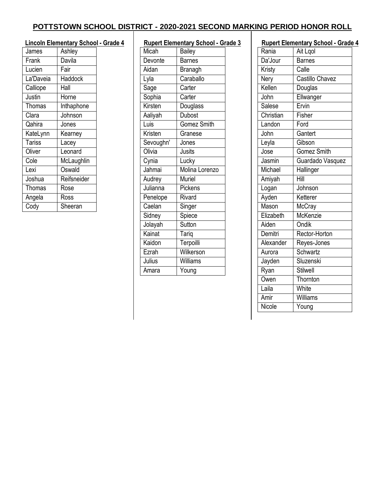|               | <b>Lincoln Elementary School - Grade 4</b> |  |
|---------------|--------------------------------------------|--|
| James         | Ashley                                     |  |
| Frank         | Davila                                     |  |
| Lucien        | Fair                                       |  |
| La'Daveia     | Haddock                                    |  |
| Calliope      | Hall                                       |  |
| Justin        | Horne                                      |  |
| <b>Thomas</b> | Inthaphone                                 |  |
| Clara         | Johnson                                    |  |
| Qahira        | Jones                                      |  |
| KateLynn      | Kearney                                    |  |
| <b>Tariss</b> | Lacey                                      |  |
| Oliver        | Leonard                                    |  |
| Cole          | McLaughlin                                 |  |
| Lexi          | Oswald                                     |  |
| Joshua        | Reifsneider                                |  |
| <b>Thomas</b> | Rose                                       |  |
| Angela        | Ross                                       |  |
| Cody          | Sheeran                                    |  |

| <b>Rupert Elementary School - Grade 3</b> |                |  |
|-------------------------------------------|----------------|--|
| Micah                                     | Bailey         |  |
| Devonte                                   | <b>Barnes</b>  |  |
| Aidan                                     | Branagh        |  |
| Lyla                                      | Caraballo      |  |
| Sage                                      | Carter         |  |
| Sophia                                    | Carter         |  |
| Kirsten                                   | Douglass       |  |
| Aaliyah                                   | <b>Dubost</b>  |  |
| Luis                                      | Gomez Smith    |  |
| Kristen                                   | Granese        |  |
| Sevoughn'                                 | Jones          |  |
| Olivia                                    | <b>Jusits</b>  |  |
| Cynia                                     | Lucky          |  |
| Jahmai                                    | Molina Lorenzo |  |
| Audrey                                    | Muriel         |  |
| Julianna                                  | Pickens        |  |
| Penelope                                  | Rivard         |  |
| Caelan                                    | Singer         |  |
| Sidney                                    | Spiece         |  |
| Jolayah                                   | Sutton         |  |
| Kainat                                    | Tariq          |  |
| Kaidon                                    | Terpoilli      |  |
| Ezrah                                     | Wilkerson      |  |
| Julius                                    | Williams       |  |
| Amara                                     | Young          |  |

| Ait Lgol<br>Rania<br>Da'Jour<br><b>Barnes</b><br>Calle<br>Kristy<br><b>Castillo Chavez</b><br>Nery<br>Kellen<br>Douglas<br>John<br>Ellwanger<br>Ervin<br>Salese<br>Christian<br>Fisher<br>Landon<br>Ford<br>John<br>Gantert<br>Gibson<br>Leyla<br><b>Gomez Smith</b><br>$\overline{\textsf{Jose}}$<br>Jasmin<br>Guardado Vasquez<br>Michael<br>Hallinger<br>$\overline{H}$ ill<br>Amiyah<br>Logan<br>Johnson<br>Ayden<br>Ketterer<br>Mason<br>McCray<br>McKenzie<br>Elizabeth<br>Ondik<br>Aiden<br>Demitri<br>Rector-Horton<br>Alexander<br>Reyes-Jones<br>Schwartz<br>Aurora<br>Sluzenski<br>Jayden<br>Ryan<br><b>Stilwell</b><br>Owen<br>Thornton<br>Laila<br>White<br>Amir<br>Williams<br>Nicole<br>Young | <b>Rupert Elementary School - Grade 4</b> |  |  |
|--------------------------------------------------------------------------------------------------------------------------------------------------------------------------------------------------------------------------------------------------------------------------------------------------------------------------------------------------------------------------------------------------------------------------------------------------------------------------------------------------------------------------------------------------------------------------------------------------------------------------------------------------------------------------------------------------------------|-------------------------------------------|--|--|
|                                                                                                                                                                                                                                                                                                                                                                                                                                                                                                                                                                                                                                                                                                              |                                           |  |  |
|                                                                                                                                                                                                                                                                                                                                                                                                                                                                                                                                                                                                                                                                                                              |                                           |  |  |
|                                                                                                                                                                                                                                                                                                                                                                                                                                                                                                                                                                                                                                                                                                              |                                           |  |  |
|                                                                                                                                                                                                                                                                                                                                                                                                                                                                                                                                                                                                                                                                                                              |                                           |  |  |
|                                                                                                                                                                                                                                                                                                                                                                                                                                                                                                                                                                                                                                                                                                              |                                           |  |  |
|                                                                                                                                                                                                                                                                                                                                                                                                                                                                                                                                                                                                                                                                                                              |                                           |  |  |
|                                                                                                                                                                                                                                                                                                                                                                                                                                                                                                                                                                                                                                                                                                              |                                           |  |  |
|                                                                                                                                                                                                                                                                                                                                                                                                                                                                                                                                                                                                                                                                                                              |                                           |  |  |
|                                                                                                                                                                                                                                                                                                                                                                                                                                                                                                                                                                                                                                                                                                              |                                           |  |  |
|                                                                                                                                                                                                                                                                                                                                                                                                                                                                                                                                                                                                                                                                                                              |                                           |  |  |
|                                                                                                                                                                                                                                                                                                                                                                                                                                                                                                                                                                                                                                                                                                              |                                           |  |  |
|                                                                                                                                                                                                                                                                                                                                                                                                                                                                                                                                                                                                                                                                                                              |                                           |  |  |
|                                                                                                                                                                                                                                                                                                                                                                                                                                                                                                                                                                                                                                                                                                              |                                           |  |  |
|                                                                                                                                                                                                                                                                                                                                                                                                                                                                                                                                                                                                                                                                                                              |                                           |  |  |
|                                                                                                                                                                                                                                                                                                                                                                                                                                                                                                                                                                                                                                                                                                              |                                           |  |  |
|                                                                                                                                                                                                                                                                                                                                                                                                                                                                                                                                                                                                                                                                                                              |                                           |  |  |
|                                                                                                                                                                                                                                                                                                                                                                                                                                                                                                                                                                                                                                                                                                              |                                           |  |  |
|                                                                                                                                                                                                                                                                                                                                                                                                                                                                                                                                                                                                                                                                                                              |                                           |  |  |
|                                                                                                                                                                                                                                                                                                                                                                                                                                                                                                                                                                                                                                                                                                              |                                           |  |  |
|                                                                                                                                                                                                                                                                                                                                                                                                                                                                                                                                                                                                                                                                                                              |                                           |  |  |
|                                                                                                                                                                                                                                                                                                                                                                                                                                                                                                                                                                                                                                                                                                              |                                           |  |  |
|                                                                                                                                                                                                                                                                                                                                                                                                                                                                                                                                                                                                                                                                                                              |                                           |  |  |
|                                                                                                                                                                                                                                                                                                                                                                                                                                                                                                                                                                                                                                                                                                              |                                           |  |  |
|                                                                                                                                                                                                                                                                                                                                                                                                                                                                                                                                                                                                                                                                                                              |                                           |  |  |
|                                                                                                                                                                                                                                                                                                                                                                                                                                                                                                                                                                                                                                                                                                              |                                           |  |  |
|                                                                                                                                                                                                                                                                                                                                                                                                                                                                                                                                                                                                                                                                                                              |                                           |  |  |
|                                                                                                                                                                                                                                                                                                                                                                                                                                                                                                                                                                                                                                                                                                              |                                           |  |  |
|                                                                                                                                                                                                                                                                                                                                                                                                                                                                                                                                                                                                                                                                                                              |                                           |  |  |
|                                                                                                                                                                                                                                                                                                                                                                                                                                                                                                                                                                                                                                                                                                              |                                           |  |  |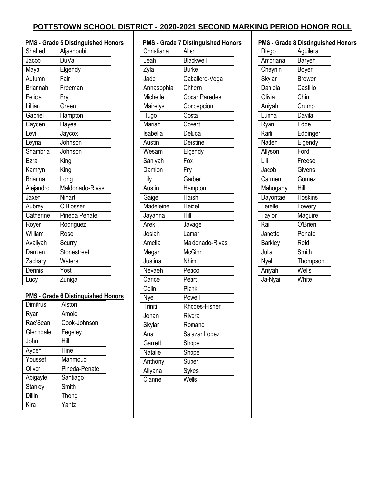| <b>PMS - Grade 5 Distinguished Honors</b> |                 |                            |  |
|-------------------------------------------|-----------------|----------------------------|--|
|                                           | Shahed          | Aljashoubi                 |  |
|                                           | Jacob           | <b>DuVal</b>               |  |
|                                           | Maya            | Elgendy                    |  |
|                                           | Autumn          | Fair                       |  |
|                                           | <b>Briannah</b> | Freeman                    |  |
|                                           | Felicia         | Fry                        |  |
|                                           | Lillian         | Green                      |  |
|                                           | Gabriel         | Hampton                    |  |
|                                           | Cayden          | Hayes                      |  |
|                                           | Levi            | Jaycox                     |  |
|                                           | Leyna           | Johnson                    |  |
|                                           | Shambria        | Johnson                    |  |
|                                           | Ezra            | King                       |  |
|                                           | Kamryn          | $\overline{\mathsf{King}}$ |  |
|                                           | <b>Brianna</b>  | Long                       |  |
|                                           | Alejandro       | Maldonado-Rivas            |  |
|                                           | Jaxen           | Nihart                     |  |
|                                           | Aubrey          | O'Blosser                  |  |
|                                           | Catherine       | Pineda Penate              |  |
|                                           | Royer           | Rodriguez                  |  |
|                                           | William         | Rose                       |  |
|                                           | Avaliyah        | Scurry                     |  |
|                                           | Damien          | Stonestreet                |  |
|                                           | Zachary         | Waters                     |  |
|                                           | Dennis          | $\overline{Y}$ ost         |  |
|                                           | Lucy            | Zuniga                     |  |

### **PMS - Grade 6 Distinguished Honors**

| Dimitrus       | Alston        |
|----------------|---------------|
| Ryan           | Amole         |
| Rae'Sean       | Cook-Johnson  |
| Glenndale      | Fegeley       |
| John           | Hill          |
| Ayden          | Hine          |
| Youssef        | Mahmoud       |
| Oliver         | Pineda-Penate |
| Abigayle       | Santiago      |
| <b>Stanley</b> | Smith         |
| Dillin         | Thong         |
| Kira           | Yantz         |

| <b>PMS - Grade 7 Distinguished Honors</b> |                  |  |
|-------------------------------------------|------------------|--|
| Christiana                                | Allen            |  |
| Leah                                      | <b>Blackwell</b> |  |
| Zyla                                      | <b>Burke</b>     |  |
| Jade                                      | Caballero-Vega   |  |
| Annasophia                                | Chhern           |  |
| Michelle                                  | Cocar Paredes    |  |
| Mairelys                                  | Concepcion       |  |
| Hugo                                      | Costa            |  |
| Mariah                                    | Covert           |  |
| Isabella                                  | Deluca           |  |
| Austin                                    | <b>Derstine</b>  |  |
| Wesam                                     | Elgendy          |  |
| Saniyah                                   | Fox              |  |
| Damion                                    | Fry              |  |
| Lily                                      | Garber           |  |
| Austin                                    | Hampton          |  |
| Gaige                                     | Harsh            |  |
| Madeleine                                 | Heidel           |  |
| Jayanna                                   | Hill             |  |
| Arek                                      | Javage           |  |
| Josiah                                    | Lamar            |  |
| Amelia                                    | Maldonado-Rivas  |  |
| Megan                                     | McGinn           |  |
| Justina                                   | <b>Nhim</b>      |  |
| Nevaeh                                    | Peaco            |  |
| Carice                                    | Peart            |  |
| Colin                                     | Plank            |  |
| Nye                                       | Powell           |  |
| Triniti                                   | Rhodes-Fisher    |  |
| Johan                                     | Rivera           |  |
| Skylar                                    | Romano           |  |
| Ana                                       | Salazar Lopez    |  |
| Garrett                                   | Shope            |  |
| Natalie                                   | Shope            |  |
| Anthony                                   | Suber            |  |
| Allyana                                   | Sykes            |  |
| Cianne                                    | Wells            |  |

|                | PMS - Grade 8 Distinguished Honors |  |
|----------------|------------------------------------|--|
| Diego          | Aguilera                           |  |
| Ambriana       | Baryeh                             |  |
| Cheynin        | Boyer                              |  |
| Skylar         | <b>Brower</b>                      |  |
| Daniela        | Castillo                           |  |
| Olivia         | Chin                               |  |
| Aniyah         | Crump                              |  |
| Lunna          | Davila                             |  |
| Ryan           | Edde                               |  |
| Karli          | Eddinger                           |  |
| Naden          | Elgendy                            |  |
| Allyson        | Ford                               |  |
| Lili           | Freese                             |  |
| Jacob          | Givens                             |  |
| Carmen         | Gomez                              |  |
| Mahogany       | Hill                               |  |
| Dayontae       | <b>Hoskins</b>                     |  |
| Terelle        | Lowery                             |  |
| Taylor         | Maguire                            |  |
| Kai            | O'Brien                            |  |
| Janette        | Penate                             |  |
| <b>Barkley</b> | Reid                               |  |
| Julia          | Smith                              |  |
| Nyel           | Thompson                           |  |
| Aniyah         | Wells                              |  |
| Ja-Nyai        | White                              |  |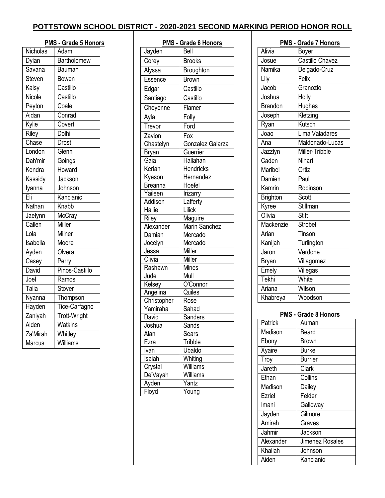|                               | <b>PMS - Grade 5 Honors</b> |
|-------------------------------|-----------------------------|
| Nicholas                      | Adam                        |
| Dylan                         | <b>Bartholomew</b>          |
| $\overline{\mathsf{S}}$ avana | Bauman                      |
| Steven                        | Bowen                       |
| Kaisy                         | Castillo                    |
| Nicole                        | Castillo                    |
| Peyton                        | Coale                       |
| Aidan                         | Conrad                      |
| Kylie                         | Covert                      |
| Riley                         | Dolhi                       |
| Chase                         | Drost                       |
| London                        | Glenn                       |
| Dah'mir                       | Goings                      |
| Kendra                        | Howard                      |
| Kassidy                       | Jackson                     |
| lyanna                        | Johnson                     |
| Eli                           | Kancianic                   |
| Nathan                        | Knabb                       |
| Jaelynn                       | McCray                      |
| Callen                        | Miller                      |
| Lola                          | Milner                      |
| Isabella                      | Moore                       |
| Ayden                         | Olvera                      |
| Casey                         | $\overline{P}$ erry         |
| David                         | Pinos-Castillo              |
| Joel                          | Ramos                       |
| Talia                         | Stover                      |
| Nyanna                        | Thompson                    |
| Hayden                        | Tice-Carfagno               |
| Zaniyah                       | <b>Trott-Wright</b>         |
| Aiden                         | Watkins                     |
| Za'Mirah                      | Whitley                     |
| Marcus                        | Williams                    |

| <b>PMS - Grade 6 Honors</b> |                      |  |
|-----------------------------|----------------------|--|
| Jayden                      | Bell                 |  |
| Corey                       | <b>Brooks</b>        |  |
| Alyssa                      | Broughton            |  |
| Essence                     | <b>Brown</b>         |  |
| Edgar                       | Castillo             |  |
| Santiago                    | Castillo             |  |
| Cheyenne                    | Flamer               |  |
| Ayla                        | Folly                |  |
| Trevor                      | Ford                 |  |
| Zavion                      | Fox                  |  |
| Chastelyn                   | Gonzalez Galarza     |  |
| <b>Bryan</b>                | Guerrier             |  |
| Gaia                        | Hallahan             |  |
| Keriah                      | <b>Hendricks</b>     |  |
| Kyeson                      | Hernandez            |  |
| <b>Breanna</b>              | Hoefel               |  |
| Yaileen                     | Irizarry             |  |
| Addison                     | Lafferty             |  |
| Hallie                      | Lilick               |  |
| Riley                       | Maguire              |  |
| Alexander                   | <b>Marin Sanchez</b> |  |
| Damian                      | Mercado              |  |
| Jocelyn                     | Mercado              |  |
| Jessa                       | Miller               |  |
| Olivia                      | Miller               |  |
| Rashawn                     | <b>Mines</b>         |  |
| Jude                        | Mull                 |  |
| Kelsey                      | O'Connor             |  |
| Angelina                    | $\overline{Q}$ uiles |  |
| Christopher                 | Rose                 |  |
| Yamiraha                    | Sahad                |  |
| David                       | Sanders              |  |
| Joshua                      | Sands                |  |
| Alan                        | <b>Sears</b>         |  |
| Ezra                        | Tribble              |  |
| Ivan                        | Ubaldo               |  |
| Isaiah                      | Whiting              |  |
| Crystal                     | Williams             |  |
| De'Vayah                    | Williams             |  |
| Ayden                       | Yantz                |  |
| Floyd                       | Young                |  |

|                 | PMS - Grade 7 Honors   |
|-----------------|------------------------|
| Alivia          | Boyer                  |
| Josue           | <b>Castillo Chavez</b> |
| Namika          | Delgado-Cruz           |
| Lily            | Felix                  |
| Jacob           | Granozio               |
| Joshua          | Holly                  |
| <b>Brandon</b>  | <b>Hughes</b>          |
| Joseph          | Kletzing               |
| Ryan            | Kutsch                 |
| Joao            | Lima Valadares         |
| Ana             | Maldonado-Lucas        |
| Jazzlyn         | Miller-Tribble         |
| Caden           | <b>Nihart</b>          |
| Maribel         | Ortiz                  |
| Damien          | Paul                   |
| Kamrin          | Robinson               |
| <b>Brighton</b> | Scott                  |
| Kyree           | Stillman               |
| Olivia          | <b>Stitt</b>           |
| Mackenzie       | Strobel                |
| Arian           | Tinson                 |
| Kanijah         | Turlington             |
| Jaron           | Verdone                |
| <b>Bryan</b>    | Villagomez             |
| Emely           | Villegas               |
| Tekhi           | White                  |
| Ariana          | Wilson                 |
| Khabreya        | Woodson                |

#### **PMS - Grade 8 Honors**

| Patrick   | Auman           |
|-----------|-----------------|
| Madison   | Beard           |
| Ebony     | Brown           |
| Xyaire    | <b>Burke</b>    |
| Troy      | <b>Burrier</b>  |
| Jareth    | Clark           |
| Ethan     | Collins         |
| Madison   | Dailey          |
| Ezriel    | Felder          |
| Imani     | Galloway        |
| Jayden    | Gilmore         |
| Amirah    | Graves          |
| Jahmir    | Jackson         |
| Alexander | Jimenez Rosales |
| Khaliah   | Johnson         |
| Aiden     | Kancianic       |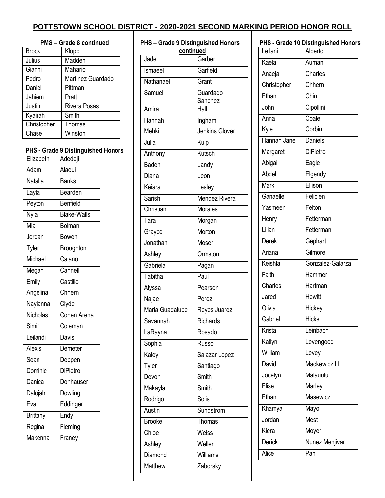| <b>PMS - Grade 8 continued</b> |                     |  |
|--------------------------------|---------------------|--|
| <b>Brock</b>                   | Klopp               |  |
| Julius                         | Madden              |  |
| Gianni                         | Mahario             |  |
| Pedro                          | Martinez Guardado   |  |
| Daniel                         | Pittman             |  |
| Jahiem                         | Pratt               |  |
| Justin                         | <b>Rivera Posas</b> |  |
| Kyairah                        | Smith               |  |
| Christopher                    | Thomas              |  |
| Chase                          | Winston             |  |
|                                |                     |  |

### **PHS - Grade 9 Distinguished Honors**

| Elizabeth       | Adedeji            |
|-----------------|--------------------|
| Adam            | Alaoui             |
| Natalia         | Banks              |
| Layla           | Bearden            |
| Peyton          | Benfield           |
| Nyla            | <b>Blake-Walls</b> |
| Mia             | <b>Bolman</b>      |
| Jordan          | Bowen              |
| Tyler           | Broughton          |
| Michael         | Calano             |
| Megan           | Cannell            |
| Emily           | Castillo           |
| Angelina        | Chhern             |
| Nayianna        | Clyde              |
| Nicholas        | Cohen Arena        |
| Simir           | Coleman            |
| Leilandi        | Davis              |
| <b>Alexis</b>   | Demeter            |
| Sean            | Deppen             |
| Dominic         | <b>DiPietro</b>    |
| Danica          | Donhauser          |
| Dalojah         | Dowling            |
| Eva             | Eddinger           |
| <b>Brittany</b> | Endy               |
| Regina          | Fleming            |
| Makenna         | Franey             |
|                 |                    |

| <b>PHS-Grade 9 Distinguished Honors</b><br>continued |                       |  |
|------------------------------------------------------|-----------------------|--|
| Jade                                                 | Garber                |  |
| Ismaeel                                              | Garfield              |  |
| Nathanael                                            | Grant                 |  |
| Samuel                                               | Guardado<br>Sanchez   |  |
| Amira                                                | $\overline{H}$ all    |  |
| Hannah                                               | Ingham                |  |
| Mehki                                                | <b>Jenkins Glover</b> |  |
| Julia                                                | Kulp                  |  |
| Anthony                                              | Kutsch                |  |
| Baden                                                | Landy                 |  |
| Diana                                                | Leon                  |  |
| Keiara                                               | Lesley                |  |
| Sarish                                               | <b>Mendez Rivera</b>  |  |
| Christian                                            | <b>Morales</b>        |  |
| Tara                                                 | Morgan                |  |
| Grayce                                               | Morton                |  |
| Jonathan                                             | Moser                 |  |
| Ashley                                               | Ormston               |  |
| Gabriela                                             | Pagan                 |  |
| Tabitha                                              | Paul                  |  |
| Alyssa                                               | Pearson               |  |
| Najae                                                | Perez                 |  |
| Maria Guadalupe                                      | Reyes Juarez          |  |
| Savannah                                             | Richards              |  |
| LaRayna                                              | Rosado                |  |
| Sophia                                               | <b>Russo</b>          |  |
| Kaley                                                | Salazar Lopez         |  |
| <b>Tyler</b>                                         | Santiago              |  |
| Devon                                                | Smith                 |  |
| Makayla                                              | Smith                 |  |
| Rodrigo                                              | Solis                 |  |
| Austin                                               | Sundstrom             |  |
| <b>Brooke</b>                                        | Thomas                |  |
| Chloe                                                | Weiss                 |  |
| Ashley                                               | Weller                |  |
| Diamond                                              | Williams              |  |
| <b>Matthew</b>                                       | Zaborsky              |  |

| Leilani     | PHS - Grade 10 Distinguished Honors<br>Alberto |  |
|-------------|------------------------------------------------|--|
| Kaela       | Auman                                          |  |
|             |                                                |  |
| Anaeja      | Charles                                        |  |
| Christopher | Chhern                                         |  |
| Ethan       | Chin                                           |  |
| John        | Cipollini                                      |  |
| Anna        | Coale                                          |  |
| Kyle        | Corbin                                         |  |
| Hannah Jane | Daniels                                        |  |
| Margaret    | <b>DiPietro</b>                                |  |
| Abigail     | Eagle                                          |  |
| Abdel       | Elgendy                                        |  |
| Mark        | Ellison                                        |  |
| Ganaelle    | Felicien                                       |  |
| Yasmeen     | Felton                                         |  |
| Henry       | Fetterman                                      |  |
| Lilian      | Fetterman                                      |  |
| Derek       | Gephart                                        |  |
| Ariana      | Gilmore                                        |  |
| Keishla     | Gonzalez-Galarza                               |  |
| Faith       | Hammer                                         |  |
| Charles     | Hartman                                        |  |
| Jared       | <b>Hewitt</b>                                  |  |
| Olivia      | Hickey                                         |  |
| Gabriel     | <b>Hicks</b>                                   |  |
| Krista      | Leinbach                                       |  |
| Katlyn      | Levengood                                      |  |
| William     | Levey                                          |  |
| David       | Mackewicz III                                  |  |
| Jocelyn     | Malauulu                                       |  |
| Elise       | Marley                                         |  |
| Ethan       | Masewicz                                       |  |
| Khamya      | Mayo                                           |  |
| Jordan      | Mest                                           |  |
| Kiera       | Moyer                                          |  |
| Derick      | Nunez Menjivar                                 |  |
| Alice       | Pan                                            |  |
|             |                                                |  |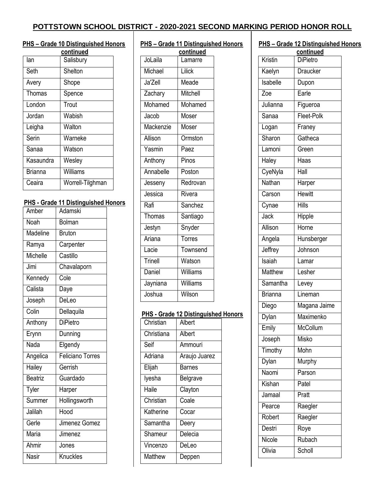#### **PHS – Grade 10 Distinguished Honors**

|                | continued        |
|----------------|------------------|
| lan            | Salisbury        |
| Seth           | Shelton          |
| Avery          | Shope            |
| Thomas         | Spence           |
| London         | Trout            |
| Jordan         | Wabish           |
| Leigha         | Walton           |
| Serin          | Warneke          |
| Sanaa          | Watson           |
| Kasaundra      | Wesley           |
| <b>Brianna</b> | Williams         |
| Ceaira         | Worrell-Tilghman |

#### **PHS - Grade 11 Distinguished Honors**

| Amber    | Adamski                 |  |
|----------|-------------------------|--|
| Noah     | <b>Bolman</b>           |  |
| Madeline | <b>Bruton</b>           |  |
| Ramya    | Carpenter               |  |
| Michelle | Castillo                |  |
| Jimi     | Chavalaporn             |  |
| Kennedy  | Cole                    |  |
| Calista  | Daye                    |  |
| Joseph   | DeLeo                   |  |
| Colin    | Dellaquila              |  |
| Anthony  | <b>DiPietro</b>         |  |
| Erynn    | Dunning                 |  |
| Nada     | Elgendy                 |  |
| Angelica | <b>Feliciano Torres</b> |  |
| Hailey   | Gerrish                 |  |
| Beatriz  | Guardado                |  |
| Tyler    | Harper                  |  |
| Summer   | Hollingsworth           |  |
| Jalilah  | Hood                    |  |
| Gerle    | Jimenez Gomez           |  |
| Maria    | Jimenez                 |  |
| Ahmir    | Jones                   |  |
| Nasir    | Knuckles                |  |

| <b>PHS-Grade 11 Distinguished Honors</b> |           |  |
|------------------------------------------|-----------|--|
|                                          | continued |  |
| JoLaila                                  | Lamarre   |  |
| Michael                                  | Lilick    |  |
| Ja'Zell                                  | Meade     |  |
| Zachary                                  | Mitchell  |  |
| Mohamed                                  | Mohamed   |  |
| Jacob                                    | Moser     |  |
| Mackenzie                                | Moser     |  |
| Allison                                  | Ormston   |  |
| Yasmin                                   | Paez      |  |
| Anthony                                  | Pinos     |  |
| Annabelle                                | Poston    |  |
| Jesseny                                  | Redrovan  |  |
| Jessica                                  | Rivera    |  |
| Rafi                                     | Sanchez   |  |
| Thomas                                   | Santiago  |  |
| Jestyn                                   | Snyder    |  |
| Ariana                                   | Torres    |  |
| Lacie                                    | Townsend  |  |
| Trinell                                  | Watson    |  |
| Daniel                                   | Williams  |  |
| Jayniana                                 | Williams  |  |
| Joshua                                   | Wilson    |  |

#### **PHS - Grade 12 Distinguished Honors**

| Christian  | Albert        |
|------------|---------------|
| Christiana | Albert        |
| Seif       | Ammouri       |
| Adriana    | Araujo Juarez |
| Elijah     | Barnes        |
| lyesha     | Belgrave      |
| Haile      | Clayton       |
| Christian  | Coale         |
| Katherine  | Cocar         |
| Samantha   | Deery         |
| Shameur    | Delecia       |
| Vincenzo   | DeLeo         |
| Matthew    | Deppen        |

#### **PHS – Grade 12 Distinguished Honors**

| continued      |                 |  |
|----------------|-----------------|--|
| Kristin        | DiPietro        |  |
| Kaelyn         | <b>Draucker</b> |  |
| Isabelle       | Dupon           |  |
| Zoe            | Earle           |  |
| Julianna       | Figueroa        |  |
| Sanaa          | Fleet-Polk      |  |
| Logan          | Franey          |  |
| Sharon         | Gatheca         |  |
| Lamoni         | Green           |  |
| Haley          | Haas            |  |
| CyeNyla        | Hall            |  |
| Nathan         | Harper          |  |
| Carson         | <b>Hewitt</b>   |  |
| Cynae          | Hills           |  |
| Jack           | Hipple          |  |
| Allison        | Horne           |  |
| Angela         | Hunsberger      |  |
| Jeffrey        | Johnson         |  |
| Isaiah         | Lamar           |  |
| <b>Matthew</b> | Lesher          |  |
| Samantha       | Levey           |  |
| <b>Brianna</b> | Lineman         |  |
| Diego          | Magana Jaime    |  |
| Dylan          | Maximenko       |  |
| Emily          | McCollum        |  |
| Joseph         | <b>Misko</b>    |  |
| Timothy        | Mohn            |  |
| Dylan          | <b>Murphy</b>   |  |
| Naomi          | Parson          |  |
| Kishan         | Patel           |  |
| Jamaal         | Pratt           |  |
| Pearce         | Raegler         |  |
| Robert         | Raegler         |  |
| Destri         | Roye            |  |
| Nicole         | Rubach          |  |
| Olivia         | Scholl          |  |